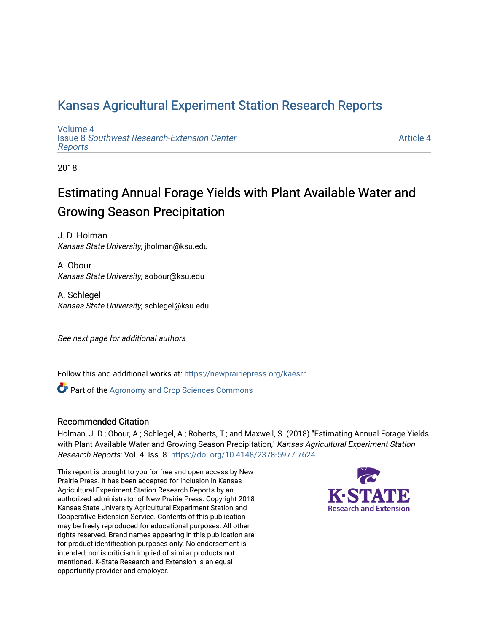## [Kansas Agricultural Experiment Station Research Reports](https://newprairiepress.org/kaesrr)

[Volume 4](https://newprairiepress.org/kaesrr/vol4) Issue 8 [Southwest Research-Extension Center](https://newprairiepress.org/kaesrr/vol4/iss8)  [Reports](https://newprairiepress.org/kaesrr/vol4/iss8)

[Article 4](https://newprairiepress.org/kaesrr/vol4/iss8/4) 

2018

## Estimating Annual Forage Yields with Plant Available Water and Growing Season Precipitation

J. D. Holman Kansas State University, jholman@ksu.edu

A. Obour Kansas State University, aobour@ksu.edu

A. Schlegel Kansas State University, schlegel@ksu.edu

See next page for additional authors

Follow this and additional works at: [https://newprairiepress.org/kaesrr](https://newprairiepress.org/kaesrr?utm_source=newprairiepress.org%2Fkaesrr%2Fvol4%2Fiss8%2F4&utm_medium=PDF&utm_campaign=PDFCoverPages) 

**Part of the Agronomy and Crop Sciences Commons** 

#### Recommended Citation

Holman, J. D.; Obour, A.; Schlegel, A.; Roberts, T.; and Maxwell, S. (2018) "Estimating Annual Forage Yields with Plant Available Water and Growing Season Precipitation," Kansas Agricultural Experiment Station Research Reports: Vol. 4: Iss. 8.<https://doi.org/10.4148/2378-5977.7624>

This report is brought to you for free and open access by New Prairie Press. It has been accepted for inclusion in Kansas Agricultural Experiment Station Research Reports by an authorized administrator of New Prairie Press. Copyright 2018 Kansas State University Agricultural Experiment Station and Cooperative Extension Service. Contents of this publication may be freely reproduced for educational purposes. All other rights reserved. Brand names appearing in this publication are for product identification purposes only. No endorsement is intended, nor is criticism implied of similar products not mentioned. K-State Research and Extension is an equal opportunity provider and employer.

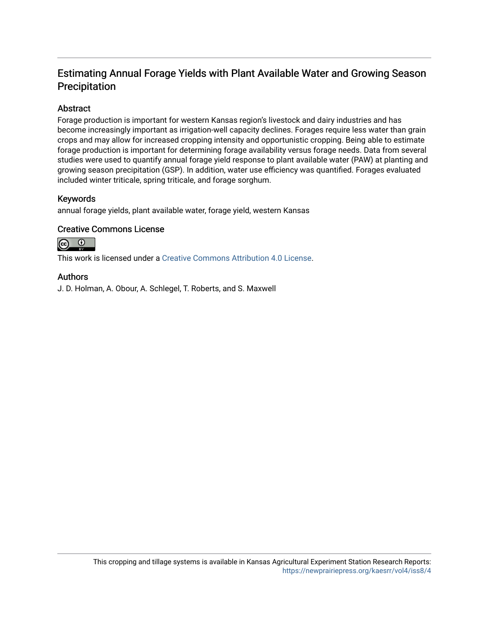## Estimating Annual Forage Yields with Plant Available Water and Growing Season Precipitation

#### Abstract

Forage production is important for western Kansas region's livestock and dairy industries and has become increasingly important as irrigation-well capacity declines. Forages require less water than grain crops and may allow for increased cropping intensity and opportunistic cropping. Being able to estimate forage production is important for determining forage availability versus forage needs. Data from several studies were used to quantify annual forage yield response to plant available water (PAW) at planting and growing season precipitation (GSP). In addition, water use efficiency was quantified. Forages evaluated included winter triticale, spring triticale, and forage sorghum.

#### Keywords

annual forage yields, plant available water, forage yield, western Kansas

#### Creative Commons License



This work is licensed under a [Creative Commons Attribution 4.0 License](https://creativecommons.org/licenses/by/4.0/).

#### Authors

J. D. Holman, A. Obour, A. Schlegel, T. Roberts, and S. Maxwell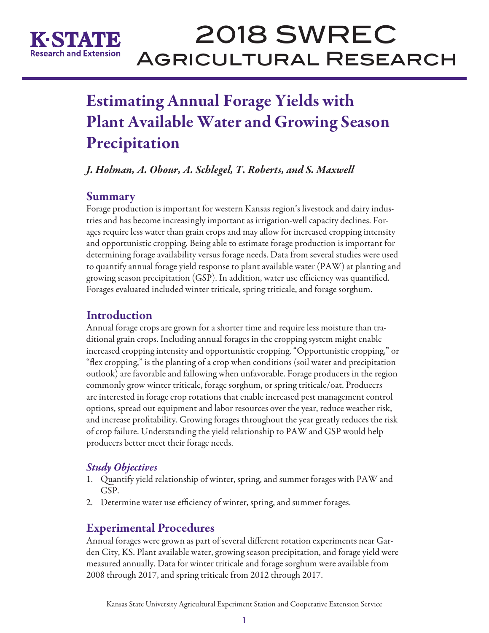

# 2018 SWREC Agricultural Research

## Estimating Annual Forage Yields with Plant Available Water and Growing Season Precipitation

*J. Holman, A. Obour, A. Schlegel, T. Roberts, and S. Maxwell* 

## **Summary**

Forage production is important for western Kansas region's livestock and dairy industries and has become increasingly important as irrigation-well capacity declines. Forages require less water than grain crops and may allow for increased cropping intensity and opportunistic cropping. Being able to estimate forage production is important for determining forage availability versus forage needs. Data from several studies were used to quantify annual forage yield response to plant available water (PAW) at planting and growing season precipitation (GSP). In addition, water use efficiency was quantified. Forages evaluated included winter triticale, spring triticale, and forage sorghum.

## **Introduction**

Annual forage crops are grown for a shorter time and require less moisture than traditional grain crops. Including annual forages in the cropping system might enable increased cropping intensity and opportunistic cropping. "Opportunistic cropping," or "flex cropping," is the planting of a crop when conditions (soil water and precipitation outlook) are favorable and fallowing when unfavorable. Forage producers in the region commonly grow winter triticale, forage sorghum, or spring triticale/oat. Producers are interested in forage crop rotations that enable increased pest management control options, spread out equipment and labor resources over the year, reduce weather risk, and increase profitability. Growing forages throughout the year greatly reduces the risk of crop failure. Understanding the yield relationship to PAW and GSP would help producers better meet their forage needs.

## *Study Objectives*

- 1. Quantify yield relationship of winter, spring, and summer forages with PAW and GSP.
- 2. Determine water use efficiency of winter, spring, and summer forages.

## Experimental Procedures

Annual forages were grown as part of several different rotation experiments near Garden City, KS. Plant available water, growing season precipitation, and forage yield were measured annually. Data for winter triticale and forage sorghum were available from 2008 through 2017, and spring triticale from 2012 through 2017.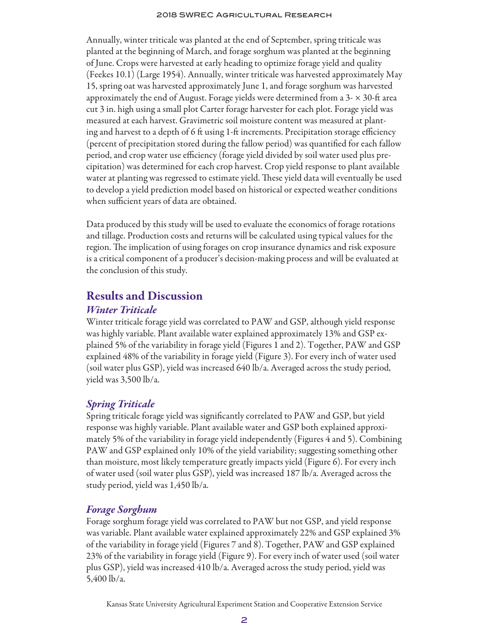#### 2018 SWREC Agricultural Research

Annually, winter triticale was planted at the end of September, spring triticale was planted at the beginning of March, and forage sorghum was planted at the beginning of June. Crops were harvested at early heading to optimize forage yield and quality (Feekes 10.1) (Large 1954). Annually, winter triticale was harvested approximately May 15, spring oat was harvested approximately June 1, and forage sorghum was harvested approximately the end of August. Forage yields were determined from a  $3-x$  30-ft area cut 3 in. high using a small plot Carter forage harvester for each plot. Forage yield was measured at each harvest. Gravimetric soil moisture content was measured at planting and harvest to a depth of 6 ft using 1-ft increments. Precipitation storage efficiency (percent of precipitation stored during the fallow period) was quantified for each fallow period, and crop water use efficiency (forage yield divided by soil water used plus precipitation) was determined for each crop harvest. Crop yield response to plant available water at planting was regressed to estimate yield. These yield data will eventually be used to develop a yield prediction model based on historical or expected weather conditions when sufficient years of data are obtained.

Data produced by this study will be used to evaluate the economics of forage rotations and tillage. Production costs and returns will be calculated using typical values for the region. The implication of using forages on crop insurance dynamics and risk exposure is a critical component of a producer's decision-making process and will be evaluated at the conclusion of this study.

### Results and Discussion

#### *Winter Triticale*

Winter triticale forage yield was correlated to PAW and GSP, although yield response was highly variable. Plant available water explained approximately 13% and GSP explained 5% of the variability in forage yield (Figures 1 and 2). Together, PAW and GSP explained 48% of the variability in forage yield (Figure 3). For every inch of water used (soil water plus GSP), yield was increased 640 lb/a. Averaged across the study period, yield was 3,500 lb/a.

#### *Spring Triticale*

Spring triticale forage yield was significantly correlated to PAW and GSP, but yield response was highly variable. Plant available water and GSP both explained approximately 5% of the variability in forage yield independently (Figures 4 and 5). Combining PAW and GSP explained only 10% of the yield variability; suggesting something other than moisture, most likely temperature greatly impacts yield (Figure 6). For every inch of water used (soil water plus GSP), yield was increased 187 lb/a. Averaged across the study period, yield was 1,450 lb/a.

#### *Forage Sorghum*

Forage sorghum forage yield was correlated to PAW but not GSP, and yield response was variable. Plant available water explained approximately 22% and GSP explained 3% of the variability in forage yield (Figures 7 and 8). Together, PAW and GSP explained 23% of the variability in forage yield (Figure 9). For every inch of water used (soil water plus GSP), yield was increased 410 lb/a. Averaged across the study period, yield was 5,400 lb/a.

Kansas State University Agricultural Experiment Station and Cooperative Extension Service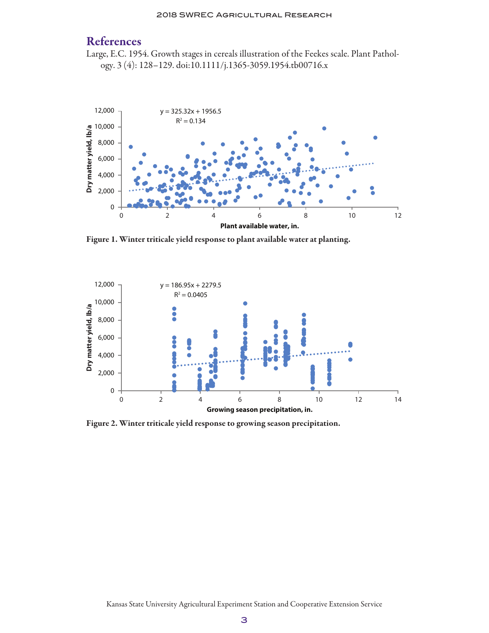## References

Large, E.C. 1954. Growth stages in cereals illustration of the Feekes scale. Plant Pathology. 3 (4): 128–129. doi:10.1111/j.1365-3059.1954.tb00716.x



Figure 1. Winter triticale yield response to plant available water at planting.



Figure 2. Winter triticale yield response to growing season precipitation.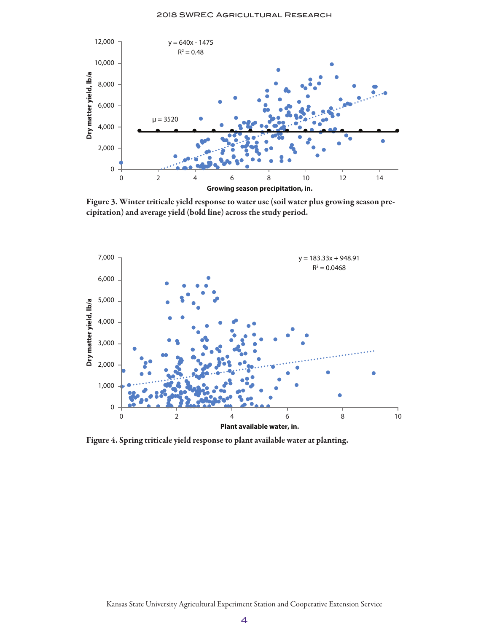

Figure 3. Winter triticale yield response to water use (soil water plus growing season precipitation) and average yield (bold line) across the study period.



Figure 4. Spring triticale yield response to plant available water at planting.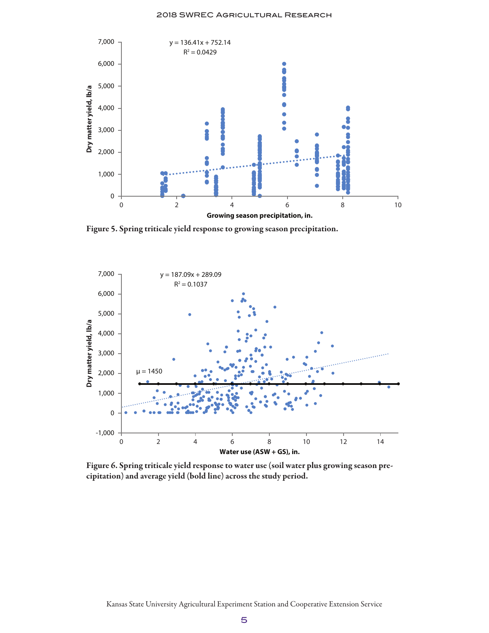

Figure 5. Spring triticale yield response to growing season precipitation.



Figure 6. Spring triticale yield response to water use (soil water plus growing season precipitation) and average yield (bold line) across the study period.

Kansas State University Agricultural Experiment Station and Cooperative Extension Service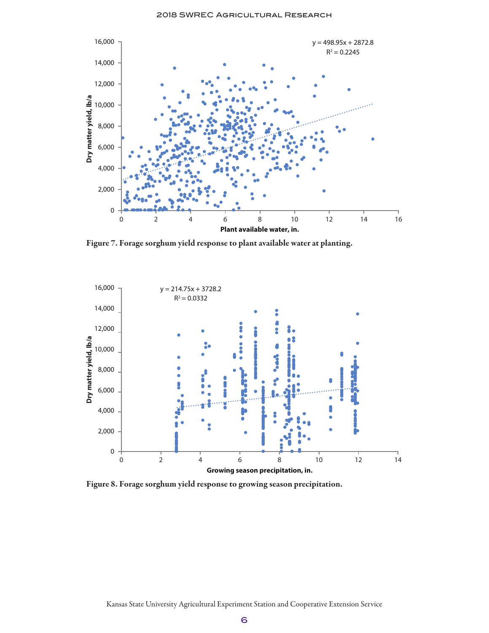

Figure 7. Forage sorghum yield response to plant available water at planting.



Figure 8. Forage sorghum yield response to growing season precipitation.